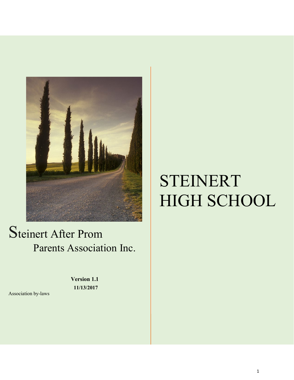

## Steinert After Prom Parents Association Inc.

**Version 1.1 11/13/2017**

#### Association by-laws

# STEINERT HIGH SCHOOL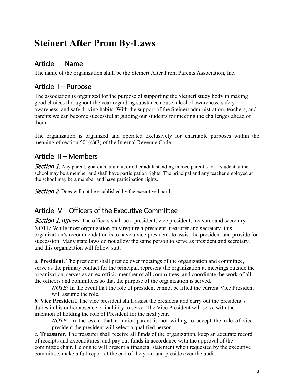## **Steinert After Prom By-Laws**

## <span id="page-2-0"></span>Article I – Name

<span id="page-2-1"></span>The name of the organization shall be the Steinert After Prom Parents Association, Inc.

#### Article II – Purpose

The association is organized for the purpose of supporting the Steinert study body in making good choices throughout the year regarding substance abuse, alcohol awareness, safety awareness, and safe driving habits. With the support of the Steinert administration, teachers, and parents we can become successful at guiding our students for meeting the challenges ahead of them.

The organization is organized and operated exclusively for charitable purposes within the meaning of section  $501(c)(3)$  of the Internal Revenue Code.

## <span id="page-2-2"></span>Article III – Members

<span id="page-2-3"></span>**Section 1.** Any parent, guardian, alumni, or other adult standing in loco parentis for a student at the school may be a member and shall have participation rights. The principal and any teacher employed at the school may be a member and have participation rights.

<span id="page-2-4"></span>**Section 2.** Dues will not be established by the executive board.

### <span id="page-2-5"></span>Article IV – Officers of the Executive Committee

<span id="page-2-6"></span>**Section 1. Officers.** The officers shall be a president, vice president, treasurer and secretary. NOTE: While most organization only require a president, treasurer and secretary, this organization's recommendation is to have a vice president, to assist the president and provide for succession. Many state laws do not allow the same person to serve as president and secretary, and this organization will follow suit.

*a.* **President.** The president shall preside over meetings of the organization and committee, serve as the primary contact for the principal, represent the organization at meetings outside the organization, serves as an ex officio member of all committees, and coordinate the work of all the officers and committees so that the purpose of the organization is served.

*NOTE*: In the event that the role of president cannot be filled the current Vice President will assume the role.

*b.* **Vice President.** The vice president shall assist the president and carry out the president's duties in his or her absence or inability to serve. The Vice President will serve with the intention of holding the role of President for the next year.

*NOTE:* In the event that a junior parent is not willing to accept the role of vicepresident the president will select a qualified person.

*c.* **Treasurer**. The treasurer shall receive all funds of the organization, keep an accurate record of receipts and expenditures, and pay out funds in accordance with the approval of the committee chair. He or she will present a financial statement when requested by the executive committee, make a full report at the end of the year, and preside over the audit.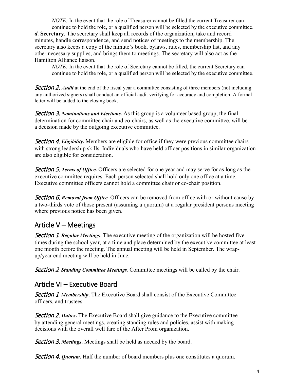*NOTE:* In the event that the role of Treasurer cannot be filled the current Treasurer can continue to hold the role, or a qualified person will be selected by the executive committee. *d*. **Secretary**. The secretary shall keep all records of the organization, take and record minutes, handle correspondence, and send notices of meetings to the membership. The secretary also keeps a copy of the minute's book, bylaws, rules, membership list, and any other necessary supplies, and brings them to meetings. The secretary will also act as the Hamilton Alliance liaison.

*NOTE:* In the event that the role of Secretary cannot be filled, the current Secretary can continue to hold the role, or a qualified person will be selected by the executive committee.

<span id="page-3-0"></span>**Section 2. Audit** at the end of the fiscal year a committee consisting of three members (not including any authorized signers) shall conduct an official audit verifying for accuracy and completion. A formal letter will be added to the closing book.

<span id="page-3-1"></span>Section 3. *Nominations and Elections.* As this group is a volunteer based group, the final determination for committee chair and co-chairs, as well as the executive committee, will be a decision made by the outgoing executive committee.

<span id="page-3-2"></span>**Section 4. Eligibility.** Members are eligible for office if they were previous committee chairs with strong leadership skills. Individuals who have held officer positions in similar organization are also eligible for consideration.

<span id="page-3-3"></span>Section 5. *Terms of Office.* Officers are selected for one year and may serve for as long as the executive committee requires. Each person selected shall hold only one office at a time. Executive committee officers cannot hold a committee chair or co-chair position.

<span id="page-3-4"></span>**Section 6. Removal from Office.** Officers can be removed from office with or without cause by a two-thirds vote of those present (assuming a quorum) at a regular president persons meeting where previous notice has been given.

### <span id="page-3-5"></span>Article V – Meetings

<span id="page-3-6"></span>**Section 1. Regular Meetings.** The executive meeting of the organization will be hosted five times during the school year, at a time and place determined by the executive committee at least one month before the meeting. The annual meeting will be held in September. The wrapup/year end meeting will be held in June.

<span id="page-3-7"></span>Section 2*. Standing Committee Meetings.* Committee meetings will be called by the chair.

#### <span id="page-3-8"></span>Article VI – Executive Board

<span id="page-3-9"></span>**Section 1. Membership.** The Executive Board shall consist of the Executive Committee officers, and trustees.

<span id="page-3-10"></span>Section 2. *Duties***.** The Executive Board shall give guidance to the Executive committee by attending general meetings, creating standing rules and policies, assist with making decisions with the overall well fare of the After Prom organization.

<span id="page-3-11"></span>Section 3. *Meetings*. Meetings shall be held as needed by the board.

<span id="page-3-12"></span>Section 4. *Quorum***.** Half the number of board members plus one constitutes a quorum.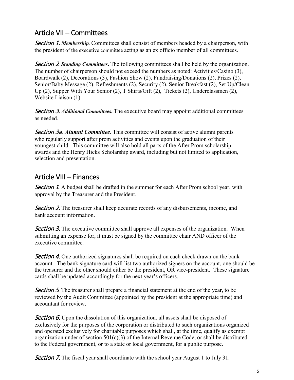#### <span id="page-4-13"></span><span id="page-4-0"></span>Article VII – Committees

<span id="page-4-1"></span>**Section 1. Membership.** Committees shall consist of members headed by a chairperson, with the president of the executive committee acting as an ex officio member of all committees.

<span id="page-4-2"></span>Section 2*. Standing Committees***.** The following committees shall be held by the organization. The number of chairperson should not exceed the numbers as noted: Activities/Casino (3), Boardwalk (2), Decorations (3), Fashion Show (2), Fundraising/Donations (2), Prizes (2), Senior/Baby Message (2), Refreshments (2), Security (2), Senior Breakfast (2), Set Up/Clean Up (2), Supper With Your Senior (2), T Shirts/Gift (2), Tickets (2), Underclassmen (2), Website Liaison (1)

<span id="page-4-3"></span>Section 3. *Additional Committees***.** The executive board may appoint additional committees as needed.

<span id="page-4-4"></span>Section 3a. *Alumni Committee*. This committee will consist of active alumni parents who regularly support after prom activities and events upon the graduation of their youngest child. This committee will also hold all parts of the After Prom scholarship awards and the Henry Hicks Scholarship award, including but not limited to application, selection and presentation.

### <span id="page-4-5"></span>Article VIII – Finances

<span id="page-4-6"></span>**Section 1.** A budget shall be drafted in the summer for each After Prom school year, with approval by the Treasurer and the President.

<span id="page-4-7"></span>**Section 2.** The treasurer shall keep accurate records of any disbursements, income, and bank account information.

<span id="page-4-8"></span>**Section 3.** The executive committee shall approve all expenses of the organization. When submitting an expense for, it must be signed by the committee chair AND officer of the executive committee.

<span id="page-4-9"></span>**Section 4.** One authorized signatures shall be required on each check drawn on the bank account. The bank signature card will list two authorized signers on the account, one should be the treasurer and the other should either be the president, OR vice-president. These signature cards shall be updated accordingly for the next year's officers.

<span id="page-4-10"></span>**Section 5.** The treasurer shall prepare a financial statement at the end of the year, to be reviewed by the Audit Committee (appointed by the president at the appropriate time) and accountant for review.

<span id="page-4-12"></span><span id="page-4-11"></span>Section 6. Upon the dissolution of this organization, all assets shall be disposed of exclusively for the purposes of the corporation or distributed to such organizations organized and operated exclusively for charitable purposes which shall, at the time, qualify as exempt organization under of section 501(c)(3) of the Internal Revenue Code, or shall be distributed to the Federal government, or to a state or local government, for a public purpose.

**Section 7.** The fiscal year shall coordinate with the school year August 1 to July 31.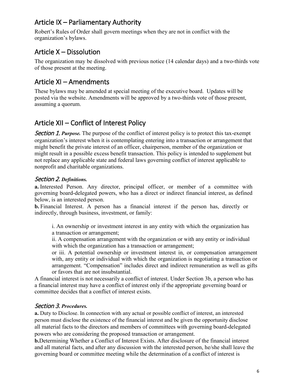### Article IX – Parliamentary Authority

Robert's Rules of Order shall govern meetings when they are not in conflict with the organization's bylaws.

#### <span id="page-5-0"></span>Article X – Dissolution

The organization may be dissolved with previous notice (14 calendar days) and a two-thirds vote of those present at the meeting.

#### <span id="page-5-1"></span>Article XI – Amendments

These bylaws may be amended at special meeting of the executive board. Updates will be posted via the website. Amendments will be approved by a two-thirds vote of those present, assuming a quorum.

### <span id="page-5-2"></span>Article XII – Conflict of Interest Policy

<span id="page-5-3"></span>**Section 1. Purpose.** The purpose of the conflict of interest policy is to protect this tax-exempt organization's interest when it is contemplating entering into a transaction or arrangement that might benefit the private interest of an officer, chairperson, member of the organization or might result in a possible excess benefit transaction. This policy is intended to supplement but not replace any applicable state and federal laws governing conflict of interest applicable to nonprofit and charitable organizations.

#### <span id="page-5-4"></span>Section 2. *Definitions.*

**a.** Interested Person. Any director, principal officer, or member of a committee with governing board-delegated powers, who has a direct or indirect financial interest, as defined below, is an interested person.

**b.** Financial Interest. A person has a financial interest if the person has, directly or indirectly, through business, investment, or family:

i. An ownership or investment interest in any entity with which the organization has a transaction or arrangement;

ii. A compensation arrangement with the organization or with any entity or individual with which the organization has a transaction or arrangement;

or iii. A potential ownership or investment interest in, or compensation arrangement with, any entity or individual with which the organization is negotiating a transaction or arrangement. "Compensation" includes direct and indirect remuneration as well as gifts or favors that are not insubstantial.

A financial interest is not necessarily a conflict of interest. Under Section 3b, a person who has a financial interest may have a conflict of interest only if the appropriate governing board or committee decides that a conflict of interest exists.

#### <span id="page-5-5"></span>Section 3. *Procedures.*

**a.** Duty to Disclose. In connection with any actual or possible conflict of interest, an interested person must disclose the existence of the financial interest and be given the opportunity disclose all material facts to the directors and members of committees with governing board-delegated powers who are considering the proposed transaction or arrangement.

**b.**Determining Whether a Conflict of Interest Exists. After disclosure of the financial interest and all material facts, and after any discussion with the interested person, he/she shall leave the governing board or committee meeting while the determination of a conflict of interest is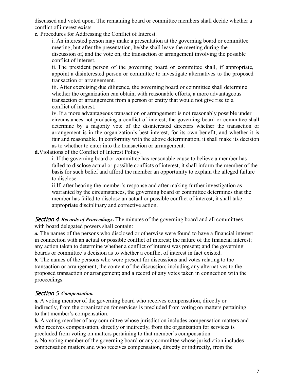discussed and voted upon. The remaining board or committee members shall decide whether a conflict of interest exists.

**c.** Procedures for Addressing the Conflict of Interest.

i. An interested person may make a presentation at the governing board or committee meeting, but after the presentation, he/she shall leave the meeting during the discussion of, and the vote on, the transaction or arrangement involving the possible conflict of interest.

ii. The president person of the governing board or committee shall, if appropriate, appoint a disinterested person or committee to investigate alternatives to the proposed transaction or arrangement.

iii. After exercising due diligence, the governing board or committee shall determine whether the organization can obtain, with reasonable efforts, a more advantageous transaction or arrangement from a person or entity that would not give rise to a conflict of interest.

iv. If a more advantageous transaction or arrangement is not reasonably possible under circumstances not producing a conflict of interest, the governing board or committee shall determine by a majority vote of the disinterested directors whether the transaction or arrangement is in the organization's best interest, for its own benefit, and whether it is fair and reasonable. In conformity with the above determination, it shall make its decision as to whether to enter into the transaction or arrangement.

**d.**Violations of the Conflict of Interest Policy.

i. If the governing board or committee has reasonable cause to believe a member has failed to disclose actual or possible conflicts of interest, it shall inform the member of the basis for such belief and afford the member an opportunity to explain the alleged failure to disclose.

ii.If, after hearing the member's response and after making further investigation as warranted by the circumstances, the governing board or committee determines that the member has failed to disclose an actual or possible conflict of interest, it shall take appropriate disciplinary and corrective action.

<span id="page-6-0"></span>Section 4*. Records of Proceedings***.** The minutes of the governing board and all committees with board delegated powers shall contain:

*a.* The names of the persons who disclosed or otherwise were found to have a financial interest in connection with an actual or possible conflict of interest; the nature of the financial interest; any action taken to determine whether a conflict of interest was present; and the governing boards or committee's decision as to whether a conflict of interest in fact existed.

*b.* The names of the persons who were present for discussions and votes relating to the transaction or arrangement; the content of the discussion; including any alternatives to the proposed transaction or arrangement; and a record of any votes taken in connection with the proceedings.

#### <span id="page-6-1"></span>Section 5*. Compensation.*

*a.* A voting member of the governing board who receives compensation, directly or indirectly, from the organization for services is precluded from voting on matters pertaining to that member's compensation.

**b.** A voting member of any committee whose jurisdiction includes compensation matters and who receives compensation, directly or indirectly, from the organization for services is precluded from voting on matters pertaining to that member's compensation.

*c.* No voting member of the governing board or any committee whose jurisdiction includes compensation matters and who receives compensation, directly or indirectly, from the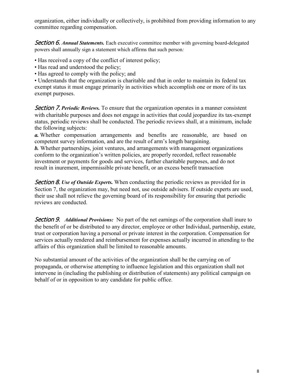organization, either individually or collectively, is prohibited from providing information to any committee regarding compensation.

<span id="page-7-0"></span>**Section 6. Annual Statements.** Each executive committee member with governing board-delegated powers shall annually sign a statement which affirms that such person*:*

- Has received a copy of the conflict of interest policy;
- Has read and understood the policy;
- Has agreed to comply with the policy; and

• Understands that the organization is charitable and that in order to maintain its federal tax exempt status it must engage primarily in activities which accomplish one or more of its tax exempt purposes.

<span id="page-7-1"></span>Section 7. *Periodic Reviews.* To ensure that the organization operates in a manner consistent with charitable purposes and does not engage in activities that could jeopardize its tax-exempt status, periodic reviews shall be conducted. The periodic reviews shall, at a minimum, include the following subjects:

*a.* Whether compensation arrangements and benefits are reasonable, are based on competent survey information, and are the result of arm's length bargaining.

*b.* Whether partnerships, joint ventures, and arrangements with management organizations conform to the organization's written policies, are properly recorded, reflect reasonable investment or payments for goods and services, further charitable purposes, and do not result in inurement, impermissible private benefit, or an excess benefit transaction

<span id="page-7-2"></span>Section 8. *Use of Outside Experts.* When conducting the periodic reviews as provided for in Section 7, the organization may, but need not, use outside advisers. If outside experts are used, their use shall not relieve the governing board of its responsibility for ensuring that periodic reviews are conducted.

Section 9. *Additional Provisions:* No part of the net earnings of the corporation shall inure to the benefit of or be distributed to any director, employee or other Individual, partnership, estate, trust or corporation having a personal or private interest in the corporation. Compensation for services actually rendered and reimbursement for expenses actually incurred in attending to the affairs of this organization shall be limited to reasonable amounts.

No substantial amount of the activities of the organization shall be the carrying on of propaganda, or otherwise attempting to influence legislation and this organization shall not intervene in (including the publishing or distribution of statements) any political campaign on behalf of or in opposition to any candidate for public office.